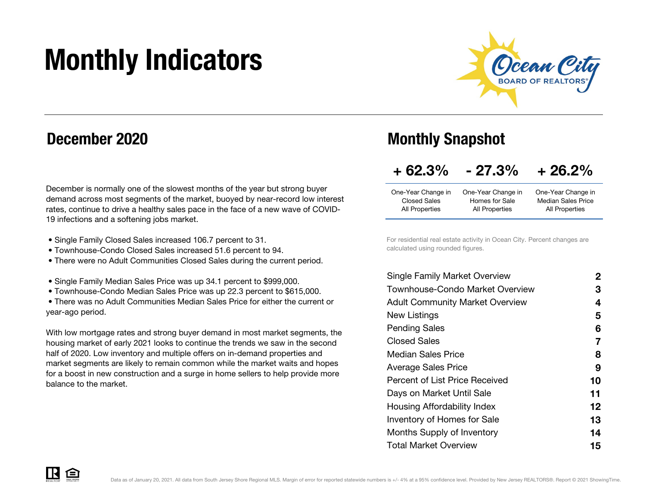# Monthly Indicators



### December 2020

December is normally one of the slowest months of the year but strong buyer demand across most segments of the market, buoyed by near-record low interest rates, continue to drive a healthy sales pace in the face of a new wave of COVID-19 infections and a softening jobs market.

- Single Family Closed Sales increased 106.7 percent to 31.
- Townhouse-Condo Closed Sales increased 51.6 percent to 94.
- There were no Adult Communities Closed Sales during the current period.
- Single Family Median Sales Price was up 34.1 percent to \$999,000.
- Townhouse-Condo Median Sales Price was up 22.3 percent to \$615,000.

 • There was no Adult Communities Median Sales Price for either the current or year-ago period.

With low mortgage rates and strong buyer demand in most market segments, the housing market of early 2021 looks to continue the trends we saw in the second half of 2020. Low inventory and multiple offers on in-demand properties and market segments are likely to remain common while the market waits and hopes for a boost in new construction and a surge in home sellers to help provide more balance to the market.

### Monthly Snapshot

#### $+62.3%$  $-27.3\% + 26.2\%$

| One-Year Change in  | One-Year Change in | One-Year Change in        |
|---------------------|--------------------|---------------------------|
| <b>Closed Sales</b> | Homes for Sale     | <b>Median Sales Price</b> |
| All Properties      | All Properties     | All Properties            |
|                     |                    |                           |

For residential real estate activity in Ocean City. Percent changes are calculated using rounded figures.

| <b>Single Family Market Overview</b>   | 2  |
|----------------------------------------|----|
| Townhouse-Condo Market Overview        | 3  |
| <b>Adult Community Market Overview</b> | 4  |
| New Listings                           | 5  |
| <b>Pending Sales</b>                   | 6  |
| <b>Closed Sales</b>                    | 7  |
| <b>Median Sales Price</b>              | 8  |
| <b>Average Sales Price</b>             | 9  |
| Percent of List Price Received         | 10 |
| Days on Market Until Sale              | 11 |
| Housing Affordability Index            | 12 |
| Inventory of Homes for Sale            | 13 |
| Months Supply of Inventory             | 14 |
| <b>Total Market Overview</b>           | 15 |
|                                        |    |

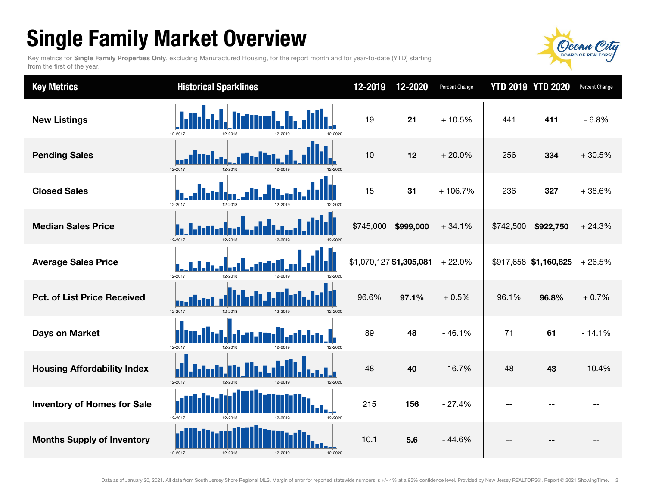## Single Family Market Overview

Key metrics for Single Family Properties Only, excluding Manufactured Housing, for the report month and for year-to-date (YTD) starting from the first of the year.



| <b>Key Metrics</b>                 | <b>Historical Sparklines</b>             | 12-2019                 | 12-2020   | Percent Change |           | <b>YTD 2019 YTD 2020</b> | <b>Percent Change</b> |
|------------------------------------|------------------------------------------|-------------------------|-----------|----------------|-----------|--------------------------|-----------------------|
| <b>New Listings</b>                | 12-2017                                  | 19                      | 21        | $+10.5%$       | 441       | 411                      | $-6.8%$               |
| <b>Pending Sales</b>               | 12-2017<br>12-2018<br>12-2019            | 10                      | 12        | $+20.0%$       | 256       | 334                      | $+30.5%$              |
| <b>Closed Sales</b>                | 12-2017<br>12-2018<br>12-2019            | 15                      | 31        | $+106.7%$      | 236       | 327                      | $+38.6%$              |
| <b>Median Sales Price</b>          | 12-2017<br>12-2018<br>12-2019<br>12-2020 | \$745,000               | \$999,000 | $+34.1%$       | \$742,500 | \$922,750                | $+24.3%$              |
| <b>Average Sales Price</b>         | 12-2017<br>12-2018<br>12-2019<br>12-2020 | \$1,070,127 \$1,305,081 |           | $+22.0%$       |           | \$917,658 \$1,160,825    | $+26.5%$              |
| <b>Pct. of List Price Received</b> | 12-2017<br>12-2018<br>12-2019<br>12-2020 | 96.6%                   | 97.1%     | $+0.5%$        | 96.1%     | 96.8%                    | $+0.7%$               |
| <b>Days on Market</b>              | 12-2017<br>12-2018<br>12-2020<br>12-2019 | 89                      | 48        | $-46.1%$       | 71        | 61                       | $-14.1%$              |
| <b>Housing Affordability Index</b> | 12-2017<br>12-2018<br>12-2019<br>12-2020 | 48                      | 40        | $-16.7%$       | 48        | 43                       | $-10.4%$              |
| <b>Inventory of Homes for Sale</b> | 12-2017<br>12-2020<br>12-2018<br>12-2019 | 215                     | 156       | $-27.4%$       | $-$       |                          |                       |
| <b>Months Supply of Inventory</b>  | 12-2017<br>12-2018<br>12-2019<br>12-2020 | 10.1                    | 5.6       | $-44.6%$       | $-$       |                          | $-$                   |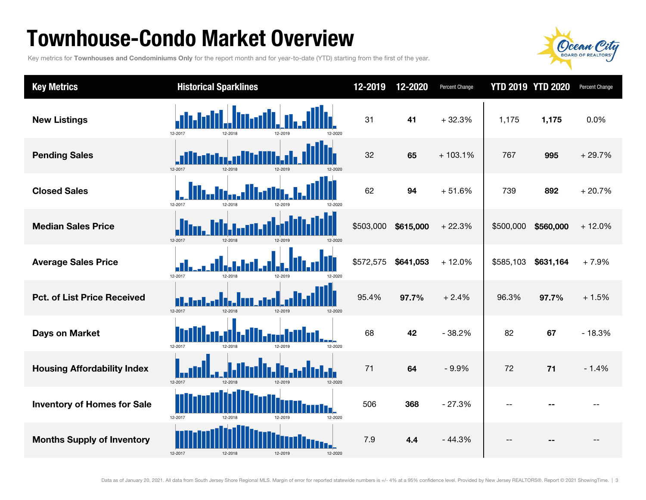### Townhouse-Condo Market Overview

Key metrics for Townhouses and Condominiums Only for the report month and for year-to-date (YTD) starting from the first of the year.



| <b>Key Metrics</b>                 | <b>Historical Sparklines</b>             | 12-2019   | 12-2020   | Percent Change |           | <b>YTD 2019 YTD 2020</b> | Percent Change |
|------------------------------------|------------------------------------------|-----------|-----------|----------------|-----------|--------------------------|----------------|
| <b>New Listings</b>                | 12-2017<br>12-2018<br>12-2019            | 31        | 41        | $+32.3%$       | 1,175     | 1,175                    | 0.0%           |
| <b>Pending Sales</b>               | 12-2017<br>12-2018<br>12-2019            | 32        | 65        | $+103.1%$      | 767       | 995                      | $+29.7%$       |
| <b>Closed Sales</b>                | 12-2017<br>12-2018                       | 62        | 94        | $+51.6%$       | 739       | 892                      | $+20.7%$       |
| <b>Median Sales Price</b>          | 12-2017<br>12-2018<br>12-2019<br>12-2020 | \$503,000 | \$615,000 | $+22.3%$       | \$500,000 | \$560,000                | $+12.0%$       |
| <b>Average Sales Price</b>         | 12-2017<br>12-2018<br>12-2010            | \$572,575 | \$641,053 | $+12.0%$       | \$585,103 | \$631,164                | $+7.9%$        |
| <b>Pct. of List Price Received</b> | 12-2017<br>12-2018<br>12-2019<br>12-2020 | 95.4%     | 97.7%     | $+2.4%$        | 96.3%     | 97.7%                    | $+1.5%$        |
| <b>Days on Market</b>              | 12-2017<br>12-2020<br>12-2018<br>12-2019 | 68        | 42        | $-38.2%$       | 82        | 67                       | $-18.3%$       |
| <b>Housing Affordability Index</b> | 12-2017<br>12-2018<br>12-2019<br>12-2020 | 71        | 64        | $-9.9%$        | 72        | 71                       | $-1.4%$        |
| <b>Inventory of Homes for Sale</b> | 12-2017<br>12-2019<br>12-2020<br>12-2018 | 506       | 368       | $-27.3%$       | $-$       |                          |                |
| <b>Months Supply of Inventory</b>  | 12-2017<br>12-2018<br>12-2019<br>12-2020 | 7.9       | 4.4       | $-44.3%$       | $-$       |                          | --             |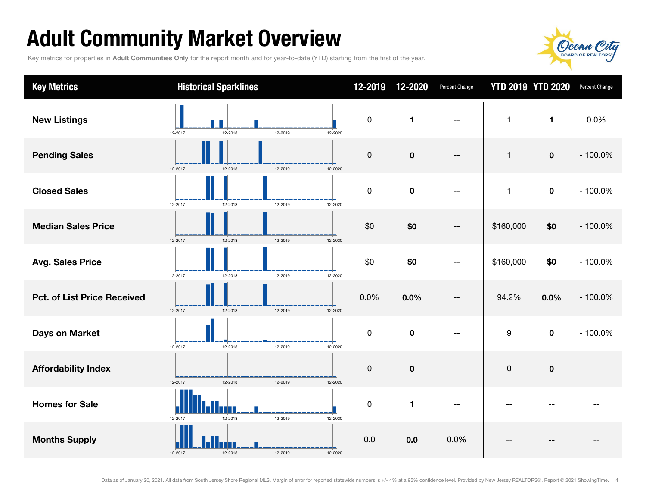## Adult Community Market Overview

Key metrics for properties in Adult Communities Only for the report month and for year-to-date (YTD) starting from the first of the year.



| <b>Key Metrics</b>                 | <b>Historical Sparklines</b>                   | 12-2019      | 12-2020        | Percent Change | <b>YTD 2019 YTD 2020</b> |                | Percent Change |
|------------------------------------|------------------------------------------------|--------------|----------------|----------------|--------------------------|----------------|----------------|
| <b>New Listings</b>                | N.<br>12-2017<br>12-2019<br>12-2018<br>12-2020 | 0            | $\blacksquare$ | $-$            | $\mathbf{1}$             | $\blacksquare$ | 0.0%           |
| <b>Pending Sales</b>               | 12-2019<br>12-2017<br>12-2018<br>12-2020       | $\pmb{0}$    | $\mathbf 0$    | $-$            | $\mathbf{1}$             | $\mathbf 0$    | $-100.0%$      |
| <b>Closed Sales</b>                | 12-2017<br>12-2018<br>12-2019<br>12-2020       | $\mathsf{O}$ | $\mathbf 0$    | $-$            | $\mathbf{1}$             | $\mathbf 0$    | $-100.0%$      |
| <b>Median Sales Price</b>          | 12-2019<br>12-2017<br>12-2018<br>12-2020       | \$0          | \$0            | $-$            | \$160,000                | \$0            | $-100.0%$      |
| <b>Avg. Sales Price</b>            | 12-2019<br>12-2017<br>12-2018<br>12-2020       | \$0          | \$0            |                | \$160,000                | \$0            | $-100.0%$      |
| <b>Pct. of List Price Received</b> | 12-2017<br>12-2018<br>12-2019<br>12-2020       | 0.0%         | 0.0%           | $- -$          | 94.2%                    | 0.0%           | $-100.0%$      |
| <b>Days on Market</b>              | 12-2017<br>12-2018<br>12-2019<br>12-2020       | $\mathbf 0$  | $\mathbf 0$    | $-$            | 9                        | $\mathbf 0$    | $-100.0%$      |
| <b>Affordability Index</b>         | 12-2017<br>12-2018<br>12-2019<br>12-2020       | 0            | $\mathbf 0$    | $-$            | $\mathsf 0$              | $\mathbf 0$    | --             |
| <b>Homes for Sale</b>              | 12-2019<br>12-2017<br>12-2018<br>12-2020       | 0            | 1              |                |                          |                |                |
| <b>Months Supply</b>               | 12-2018<br>12-2019<br>12-2017<br>12-2020       | 0.0          | 0.0            | 0.0%           |                          |                |                |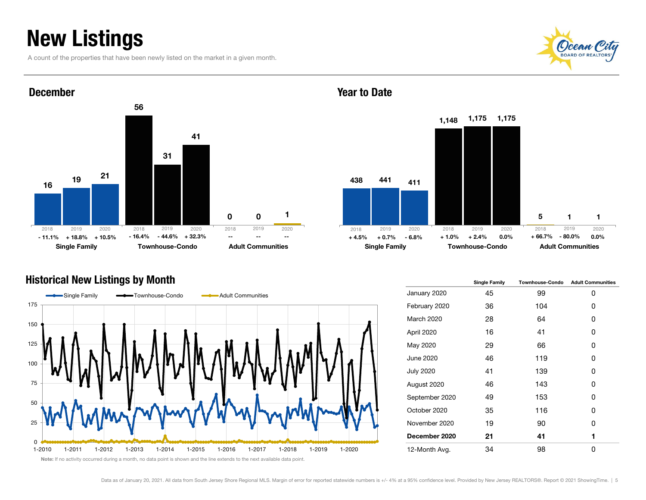### New Listings

A count of the properties that have been newly listed on the market in a given month.





#### December



#### Historical New Listings by Month



|                   | <b>Single Family</b> | <b>Townhouse-Condo</b> | <b>Adult Communities</b> |
|-------------------|----------------------|------------------------|--------------------------|
| January 2020      | 45                   | 99                     | 0                        |
| February 2020     | 36                   | 104                    | 0                        |
| <b>March 2020</b> | 28                   | 64                     | 0                        |
| April 2020        | 16                   | 41                     | 0                        |
| May 2020          | 29                   | 66                     | 0                        |
| June 2020         | 46                   | 119                    | 0                        |
| <b>July 2020</b>  | 41                   | 139                    | 0                        |
| August 2020       | 46                   | 143                    | 0                        |
| September 2020    | 49                   | 153                    | ŋ                        |
| October 2020      | 35                   | 116                    | 0                        |
| November 2020     | 19                   | 90                     | ŋ                        |
| December 2020     | 21                   | 41                     | 1                        |
| 12-Month Avg.     | 34                   | 98                     | O                        |

#### Year to Date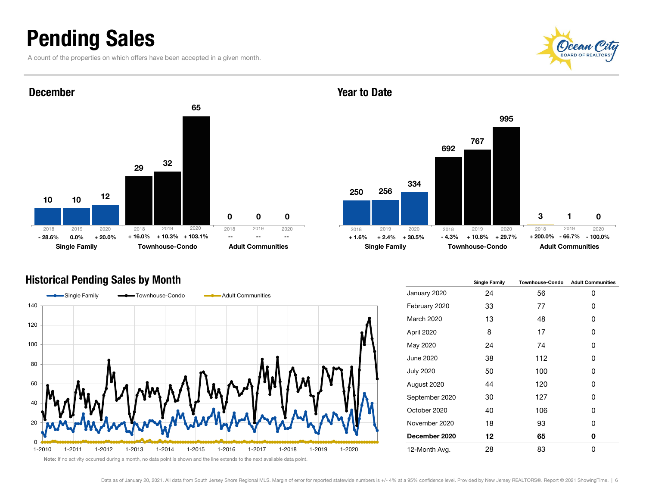### Pending Sales

A count of the properties on which offers have been accepted in a given month.





#### December



#### Historical Pending Sales by Month



|                   | <b>Single Family</b> | <b>Townhouse-Condo</b> | <b>Adult Communities</b> |
|-------------------|----------------------|------------------------|--------------------------|
| January 2020      | 24                   | 56                     | 0                        |
| February 2020     | 33                   | 77                     | 0                        |
| <b>March 2020</b> | 13                   | 48                     | 0                        |
| April 2020        | 8                    | 17                     | 0                        |
| May 2020          | 24                   | 74                     | 0                        |
| June 2020         | 38                   | 112                    | 0                        |
| <b>July 2020</b>  | 50                   | 100                    | 0                        |
| August 2020       | 44                   | 120                    | 0                        |
| September 2020    | 30                   | 127                    | 0                        |
| October 2020      | 40                   | 106                    | 0                        |
| November 2020     | 18                   | 93                     | 0                        |
| December 2020     | 12                   | 65                     | 0                        |
| 12-Month Avg.     | 28                   | 83                     | 0                        |

Year to Date

#### Note: If no activity occurred during a month, no data point is shown and the line extends to the next available data point.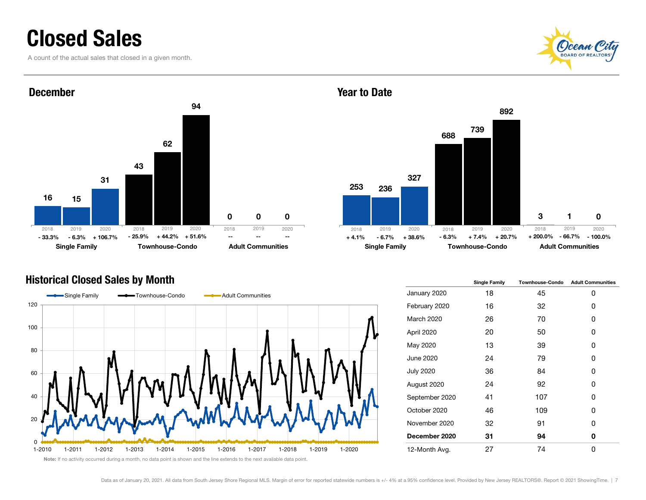### Closed Sales

A count of the actual sales that closed in a given month.







25368832367391327 892 $\Omega$ Single Family **Townhouse-Condo** Adult Communities 2019 2020 2018 2019 2020 - - - - - +4.1% -6.7% +38.6% -6.3% +7.4% +20.7% +200.0% -66.7% - - - - - +4.1% - - +4.1% - - - - - - - - - $-66.7\% - 100.0\%$ 2018 2019 2020+ 200.0%

Historical Closed Sales by Month Single Table 1 and Single Family Townhouse-Condo Adult Communities January 2020 18 45 0 February 2020 16 32 0 March 2020 26 70 0 April 2020 20 50 0 May 2020 13 39 0 June 2020 24 79 0 July 2020 36 84 0 August 2020 24 92 0 September 2020 41 107 0 October 2020 46 109 0 November 2020 32 91 0 December 2020 31 94 0 12-Month Avg. 27 74 0

Year to Date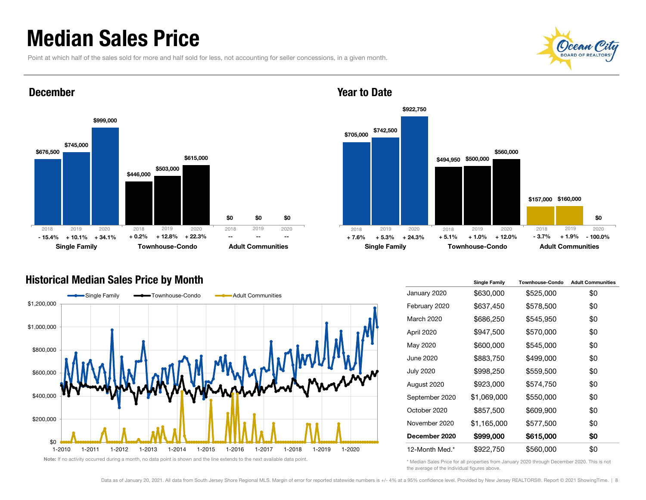### Median Sales Price

December

Point at which half of the sales sold for more and half sold for less, not accounting for seller concessions, in a given month.





#### Historical Median Sales Price by Month



Note: If no activity occurred during a month, no data point is shown and the line extends to the next available data point.



#### Year to Date

|                  | <b>Single Family</b> | <b>Townhouse-Condo</b> | <b>Adult Communities</b> |
|------------------|----------------------|------------------------|--------------------------|
| January 2020     | \$630,000            | \$525,000              | \$0                      |
| February 2020    | \$637,450            | \$578,500              | \$0                      |
| March 2020       | \$686,250            | \$545,950              | \$0                      |
| April 2020       | \$947,500            | \$570,000              | \$0                      |
| May 2020         | \$600,000            | \$545,000              | \$0                      |
| June 2020        | \$883,750            | \$499,000              | \$0                      |
| <b>July 2020</b> | \$998,250            | \$559,500              | \$0                      |
| August 2020      | \$923,000            | \$574,750              | \$0                      |
| September 2020   | \$1,069,000          | \$550,000              | \$0                      |
| October 2020     | \$857,500            | \$609,900              | \$0                      |
| November 2020    | \$1,165,000          | \$577,500              | \$0                      |
| December 2020    | \$999,000            | \$615,000              | \$0                      |
| 12-Month Med.*   | \$922,750            | \$560,000              | \$0                      |

\* Median Sales Price for all properties from January 2020 through December 2020. This is not the average of the individual figures above.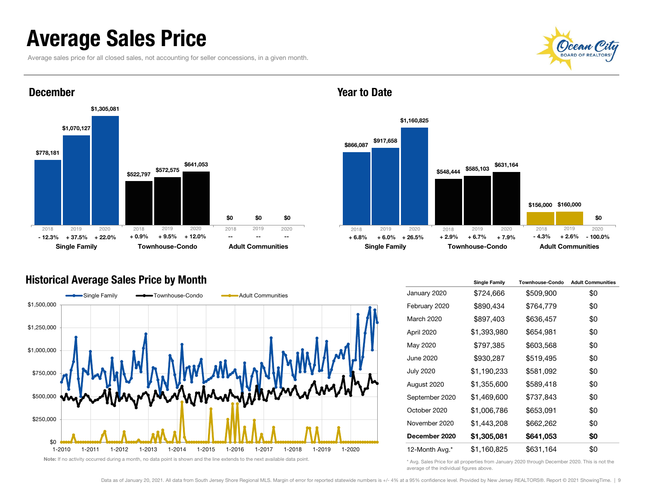### Average Sales Price

Average sales price for all closed sales, not accounting for seller concessions, in a given month.





#### December



#### Historical Average Sales Price by Month



|                   | <b>Single Family</b> | <b>Townhouse-Condo</b> | <b>Adult Communities</b> |
|-------------------|----------------------|------------------------|--------------------------|
| January 2020      | \$724,666            | \$509,900              | \$0                      |
| February 2020     | \$890,434            | \$764,779              | \$0                      |
| <b>March 2020</b> | \$897,403            | \$636,457              | \$0                      |
| April 2020        | \$1,393,980          | \$654,981              | \$0                      |
| May 2020          | \$797,385            | \$603,568              | \$0                      |
| <b>June 2020</b>  | \$930,287            | \$519,495              | \$0                      |
| <b>July 2020</b>  | \$1,190,233          | \$581,092              | \$0                      |
| August 2020       | \$1,355,600          | \$589,418              | \$0                      |
| September 2020    | \$1,469,600          | \$737,843              | \$0                      |
| October 2020      | \$1,006,786          | \$653,091              | \$0                      |
| November 2020     | \$1,443,208          | \$662,262              | \$0                      |
| December 2020     | \$1,305,081          | \$641,053              | \$0                      |
| 12-Month Avg.*    | \$1,160,825          | \$631,164              | \$0                      |

\* Avg. Sales Price for all properties from January 2020 through December 2020. This is not the average of the individual figures above.

Year to Date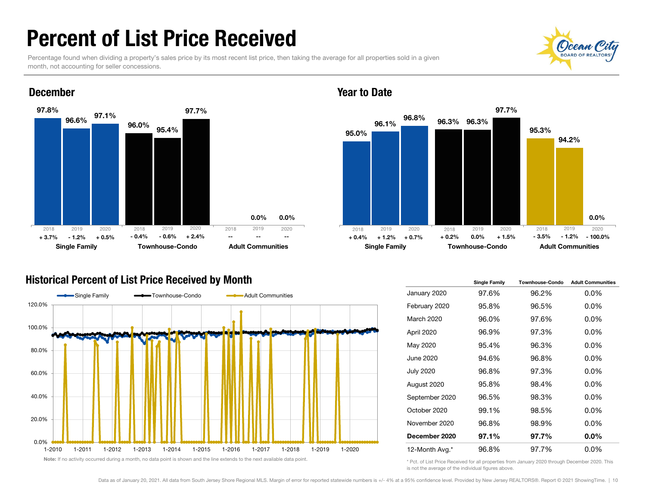### Percent of List Price Received

Percentage found when dividing a property's sales price by its most recent list price, then taking the average for all properties sold in a given month, not accounting for seller concessions.

0.0%

--

--





- 1.2%

+ 3.7%

Year to Date



#### Historical Percent of List Price Received by Month

Single Family **Townhouse-Condo** Adult Communities



Note: If no activity occurred during a month, no data point is shown and the line extends to the next available data point.

|                  | <b>Single Family</b> | <b>Townhouse-Condo</b> | <b>Adult Communities</b> |
|------------------|----------------------|------------------------|--------------------------|
| January 2020     | 97.6%                | 96.2%                  | $0.0\%$                  |
| February 2020    | 95.8%                | 96.5%                  | $0.0\%$                  |
| March 2020       | 96.0%                | 97.6%                  | $0.0\%$                  |
| April 2020       | 96.9%                | 97.3%                  | $0.0\%$                  |
| May 2020         | 95.4%                | 96.3%                  | $0.0\%$                  |
| June 2020        | 94.6%                | 96.8%                  | $0.0\%$                  |
| <b>July 2020</b> | 96.8%                | 97.3%                  | $0.0\%$                  |
| August 2020      | 95.8%                | 98.4%                  | $0.0\%$                  |
| September 2020   | 96.5%                | 98.3%                  | $0.0\%$                  |
| October 2020     | 99.1%                | 98.5%                  | $0.0\%$                  |
| November 2020    | 96.8%                | 98.9%                  | $0.0\%$                  |
| December 2020    | 97.1%                | 97.7%                  | 0.0%                     |
| 12-Month Avg.*   | 96.8%                | 97.7%                  | $0.0\%$                  |

\* Pct. of List Price Received for all properties from January 2020 through December 2020. This is not the average of the individual figures above.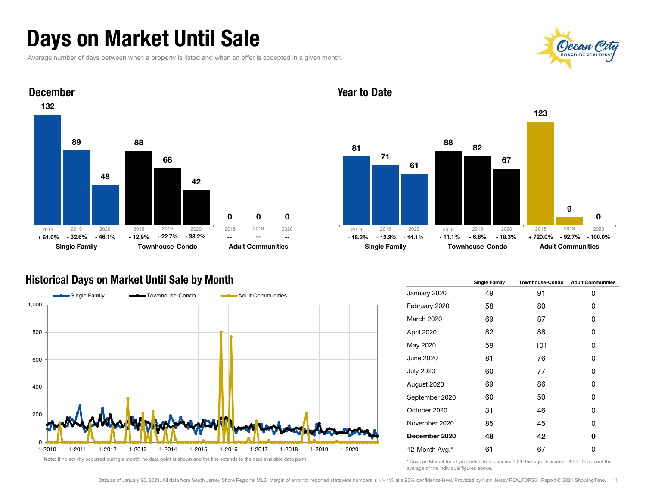### Days on Market Until Sale

Average number of days between when a property is listed and when an offer is accepted in a given month.





#### Year to Date



#### Historical Days on Market Until Sale by Month



|                   | <b>Single Family</b> | <b>Townhouse-Condo</b> | <b>Adult Communities</b> |
|-------------------|----------------------|------------------------|--------------------------|
| January 2020      | 49                   | 91                     | 0                        |
| February 2020     | 58                   | 80                     | 0                        |
| <b>March 2020</b> | 69                   | 87                     | 0                        |
| April 2020        | 82                   | 88                     | 0                        |
| May 2020          | 59                   | 101                    | 0                        |
| June 2020         | 81                   | 76                     | 0                        |
| <b>July 2020</b>  | 60                   | 77                     | 0                        |
| August 2020       | 69                   | 86                     | 0                        |
| September 2020    | 60                   | 50                     | 0                        |
| October 2020      | 31                   | 46                     | 0                        |
| November 2020     | 85                   | 45                     | 0                        |
| December 2020     | 48                   | 42                     | 0                        |
| 12-Month Avg.*    | 61                   | 67                     | 0                        |

Note: If no activity occurred during a month, no data point is shown and the line extends to the next available data point.

\* Days on Market for all properties from January 2020 through December 2020. This is not the average of the individual figures above.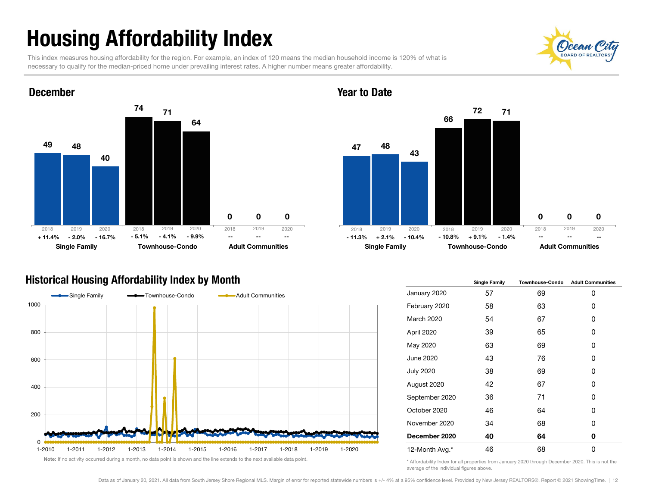# Housing Affordability Index

This index measures housing affordability for the region. For example, an index of 120 means the median household income is 120% of what is necessary to qualify for the median-priced home under prevailing interest rates. A higher number means greater affordability.





#### Year to Date



#### Historical Housing Affordability Index by Month



|                   | <b>Single Family</b> | <b>Townhouse-Condo</b> | <b>Adult Communities</b> |
|-------------------|----------------------|------------------------|--------------------------|
| January 2020      | 57                   | 69                     | 0                        |
| February 2020     | 58                   | 63                     | 0                        |
| <b>March 2020</b> | 54                   | 67                     | 0                        |
| April 2020        | 39                   | 65                     | 0                        |
| May 2020          | 63                   | 69                     | 0                        |
| June 2020         | 43                   | 76                     | 0                        |
| <b>July 2020</b>  | 38                   | 69                     | 0                        |
| August 2020       | 42                   | 67                     | 0                        |
| September 2020    | 36                   | 71                     | 0                        |
| October 2020      | 46                   | 64                     | 0                        |
| November 2020     | 34                   | 68                     | 0                        |
| December 2020     | 40                   | 64                     | 0                        |
| 12-Month Avg.*    | 46                   | 68                     | 0                        |

\* Affordability Index for all properties from January 2020 through December 2020. This is not the average of the individual figures above.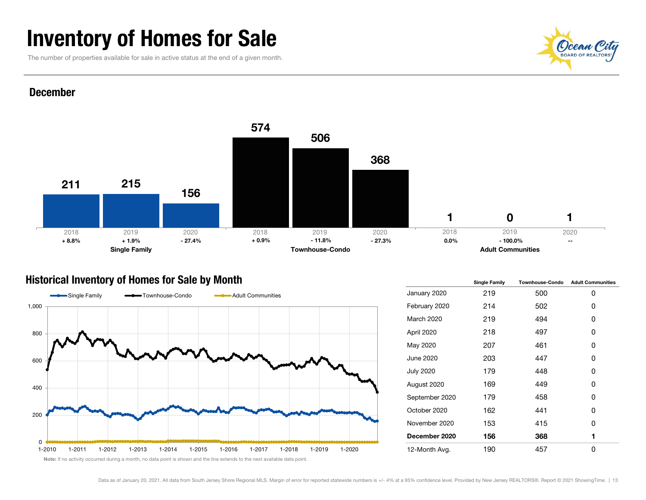### Inventory of Homes for Sale

The number of properties available for sale in active status at the end of a given month.



#### December



#### Historical Inventory of Homes for Sale by Month



|                   | <b>Single Family</b> | <b>Townhouse-Condo</b> | <b>Adult Communities</b> |  |  |
|-------------------|----------------------|------------------------|--------------------------|--|--|
| January 2020      | 219                  | 500                    | 0                        |  |  |
| February 2020     | 214                  | 502                    | 0                        |  |  |
| <b>March 2020</b> | 219                  | 494                    | 0                        |  |  |
| April 2020        | 218                  | 497                    | 0                        |  |  |
| May 2020          | 207                  | 461                    | 0                        |  |  |
| June 2020         | 203                  | 447                    | 0                        |  |  |
| <b>July 2020</b>  | 179                  | 448                    | 0                        |  |  |
| August 2020       | 169                  | 449                    | 0                        |  |  |
| September 2020    | 179                  | 458                    | 0                        |  |  |
| October 2020      | 162                  | 441                    | 0                        |  |  |
| November 2020     | 153                  | 415                    | 0                        |  |  |
| December 2020     | 156                  | 368                    | 1                        |  |  |
| 12-Month Avg.     | 190                  | 457                    | 0                        |  |  |

Note: If no activity occurred during a month, no data point is shown and the line extends to the next available data point.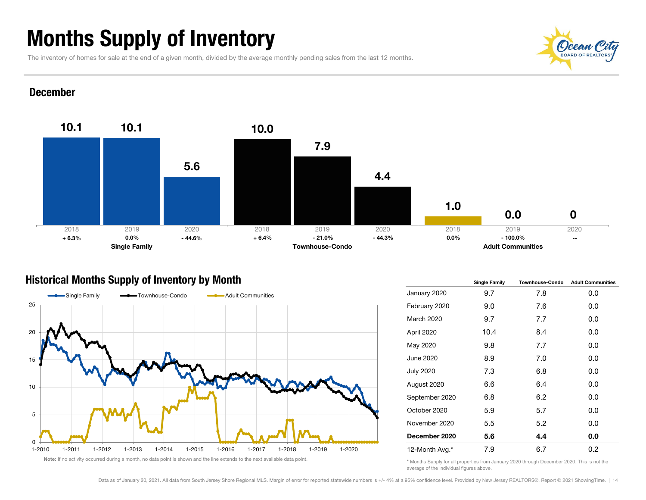### Months Supply of Inventory

The inventory of homes for sale at the end of a given month, divided by the average monthly pending sales from the last 12 months.

### (C)cean BOARD OF REALTORS

#### December



### Historical Months Supply of Inventory by Month



|                  | <b>Single Family</b> | <b>Townhouse-Condo</b> | <b>Adult Communities</b> |  |  |
|------------------|----------------------|------------------------|--------------------------|--|--|
| January 2020     | 9.7                  | 7.8                    | 0.0                      |  |  |
| February 2020    | 9.0                  | 7.6                    | 0.0                      |  |  |
| March 2020       | 9.7                  | 7.7                    | 0.0                      |  |  |
| April 2020       | 10.4                 | 8.4                    | 0.0                      |  |  |
| May 2020         | 9.8                  | 7.7                    | 0.0                      |  |  |
| June 2020        | 8.9                  | 7.0                    | 0.0                      |  |  |
| <b>July 2020</b> | 7.3                  | 6.8                    | 0.0                      |  |  |
| August 2020      | 6.6                  | 6.4                    | 0.0                      |  |  |
| September 2020   | 6.8                  | 6.2                    | 0.0                      |  |  |
| October 2020     | 5.9                  | 5.7                    | 0.0                      |  |  |
| November 2020    | 5.5                  | 5.2                    | 0.0                      |  |  |
| December 2020    | 5.6                  | 4.4                    | 0.0                      |  |  |
| 12-Month Avg.*   | 7.9                  | 6.7                    | 0.2                      |  |  |

<sup>\*</sup> Months Supply for all properties from January 2020 through December 2020. This is not the average of the individual figures above.